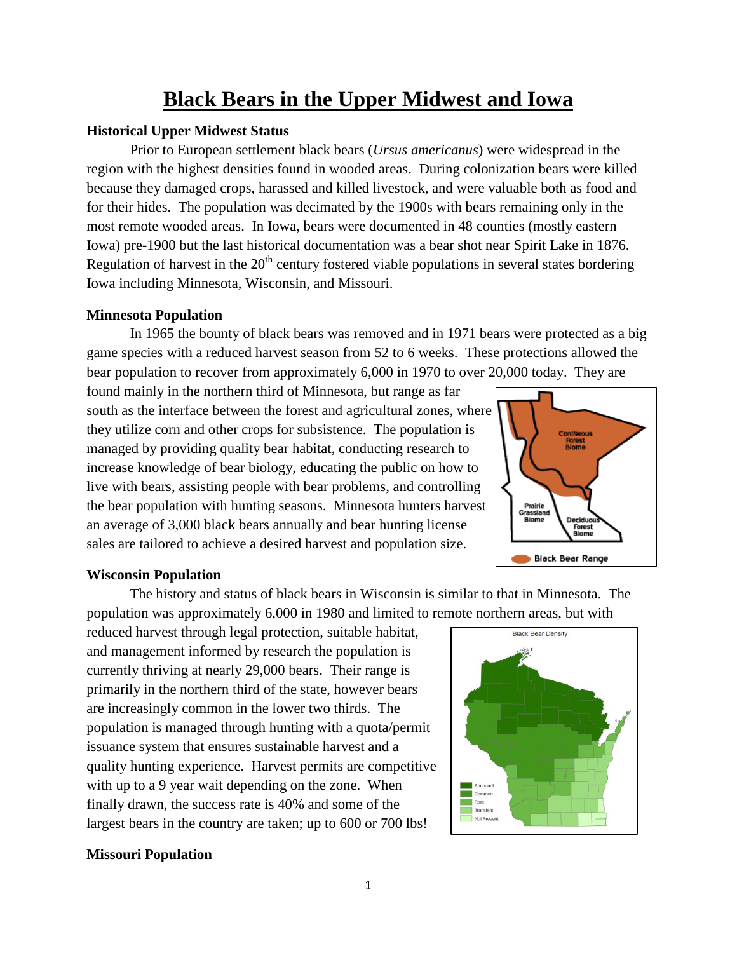# **Black Bears in the Upper Midwest and Iowa**

## **Historical Upper Midwest Status**

Prior to European settlement black bears (*Ursus americanus*) were widespread in the region with the highest densities found in wooded areas. During colonization bears were killed because they damaged crops, harassed and killed livestock, and were valuable both as food and for their hides. The population was decimated by the 1900s with bears remaining only in the most remote wooded areas. In Iowa, bears were documented in 48 counties (mostly eastern Iowa) pre-1900 but the last historical documentation was a bear shot near Spirit Lake in 1876. Regulation of harvest in the  $20<sup>th</sup>$  century fostered viable populations in several states bordering Iowa including Minnesota, Wisconsin, and Missouri.

### **Minnesota Population**

In 1965 the bounty of black bears was removed and in 1971 bears were protected as a big game species with a reduced harvest season from 52 to 6 weeks. These protections allowed the bear population to recover from approximately 6,000 in 1970 to over 20,000 today. They are

found mainly in the northern third of Minnesota, but range as far south as the interface between the forest and agricultural zones, where they utilize corn and other crops for subsistence. The population is managed by providing quality bear habitat, conducting research to increase knowledge of bear biology, educating the public on how to live with bears, assisting people with bear problems, and controlling the bear population with hunting seasons. Minnesota hunters harvest an average of 3,000 black bears annually and bear hunting license sales are tailored to achieve a desired harvest and population size.



## **Wisconsin Population**

The history and status of black bears in Wisconsin is similar to that in Minnesota. The population was approximately 6,000 in 1980 and limited to remote northern areas, but with

reduced harvest through legal protection, suitable habitat, and management informed by research the population is currently thriving at nearly 29,000 bears. Their range is primarily in the northern third of the state, however bears are increasingly common in the lower two thirds. The population is managed through hunting with a quota/permit issuance system that ensures sustainable harvest and a quality hunting experience. Harvest permits are competitive with up to a 9 year wait depending on the zone. When finally drawn, the success rate is 40% and some of the largest bears in the country are taken; up to 600 or 700 lbs!



### **Missouri Population**